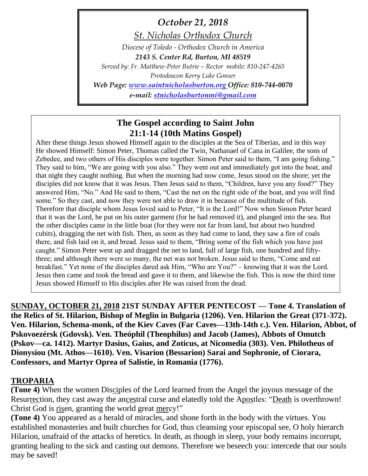*October 21, 2018*

*St. Nicholas Orthodox Church Diocese of Toledo - Orthodox Church in America 2143 S. Center Rd, Burton, MI 48519 Served by: Fr. Matthew-Peter Butrie – Rector mobile: 810-247-4265 Protodeacon Kerry Luke Gonser Web Page: [www.saintnicholasburton.org](http://www.saintnicholasburton.org/) Office: 810-744-0070 e-mail: [stnicholasburtonmi@gmail.com](mailto:stnicholasburtonmi@gmail.com)*

# **The Gospel according to Saint John 21:1-14 (10th Matins Gospel)**

After these things Jesus showed Himself again to the disciples at the Sea of Tiberias, and in this way He showed Himself: Simon Peter, Thomas called the Twin, Nathanael of Cana in Galilee, the sons of Zebedee, and two others of His disciples were together. Simon Peter said to them, "I am going fishing." They said to him, "We are going with you also." They went out and immediately got into the boat, and that night they caught nothing. But when the morning had now come, Jesus stood on the shore; yet the disciples did not know that it was Jesus. Then Jesus said to them, "Children, have you any food?" They answered Him, "No." And He said to them, "Cast the net on the right side of the boat, and you will find some." So they cast, and now they were not able to draw it in because of the multitude of fish. Therefore that disciple whom Jesus loved said to Peter, "It is the Lord!" Now when Simon Peter heard that it was the Lord, he put on his outer garment (for he had removed it), and plunged into the sea. But the other disciples came in the little boat (for they were not far from land, but about two hundred cubits), dragging the net with fish. Then, as soon as they had come to land, they saw a fire of coals there, and fish laid on it, and bread. Jesus said to them, "Bring some of the fish which you have just caught." Simon Peter went up and dragged the net to land, full of large fish, one hundred and fiftythree; and although there were so many, the net was not broken. Jesus said to them, "Come and eat breakfast." Yet none of the disciples dared ask Him, "Who are You?" – knowing that it was the Lord. Jesus then came and took the bread and gave it to them, and likewise the fish. This is now the third time Jesus showed Himself to His disciples after He was raised from the dead.

**SUNDAY, OCTOBER 21, 2018 21ST SUNDAY AFTER PENTECOST — Tone 4. Translation of the Relics of St. Hilarion, Bishop of Meglin in Bulgaria (1206). Ven. Hilarion the Great (371-372). Ven. Hilarion, Schema-monk, of the Kiev Caves (Far Caves—13th-14th c.). Ven. Hilarion, Abbot, of Pskovoezérsk (Gdovsk). Ven. Theóphil (Theophilus) and Jacob (James), Abbots of Omutch (Pskov—ca. 1412). Martyr Dasius, Gaius, and Zoticus, at Nicomedia (303). Ven. Philotheus of Dionysiou (Mt. Athos—1610). Ven. Visarion (Bessarion) Sarai and Sophronie, of Ciorara, Confessors, and Martyr Oprea of Salistie, in Romania (1776).**

## **TROPARIA**

**(Tone 4)** When the women Disciples of the Lord learned from the Angel the joyous message of the Resurrection, they cast away the ancestral curse and elatedly told the Apostles: "Death is overthrown! Christ God is risen, granting the world great mercy!"

**(Tone 4)** You appeared as a herald of miracles, and shone forth in the body with the virtues. You established monasteries and built churches for God, thus cleansing your episcopal see, O holy hierarch Hilarion, unafraid of the attacks of heretics. In death, as though in sleep, your body remains incorrupt, granting healing to the sick and casting out demons. Therefore we beseech you: intercede that our souls may be saved!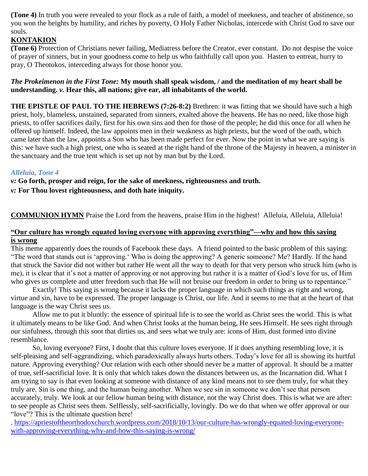**(Tone 4)** In truth you were revealed to your flock as a rule of faith, a model of meekness, and teacher of abstinence, so you won the heights by humility, and riches by poverty, O Holy Father Nicholas, intercede with Christ God to save our souls.

### **KONTAKION**

**(Tone 6)** Protection of Christians never failing, Mediatress before the Creator, ever constant. Do not despise the voice of prayer of sinners, but in your goodness come to help us who faithfully call upon you. Hasten to entreat, hurry to pray, O Theotokos, interceding always for those honor you.

### *The Prokeimenon in the First Tone:* **My mouth shall speak wisdom, / and the meditation of my heart shall be understanding.** *v.* **Hear this, all nations; give ear, all inhabitants of the world.**

**THE EPISTLE OF PAUL TO THE HEBREWS (7:26-8:2)** Brethren: it was fitting that we should have such a high priest, holy, blameless, unstained, separated from sinners, exalted above the heavens. He has no need, like those high priests, to offer sacrifices daily, first for his own sins and then for those of the people; he did this once for all when he offered up himself. Indeed, the law appoints men in their weakness as high priests, but the word of the oath, which came later than the law, appoints a Son who has been made perfect for ever. Now the point in what we are saying is this: we have such a high priest, one who is seated at the right hand of the throne of the Majesty in heaven, a minister in the sanctuary and the true tent which is set up not by man but by the Lord.

### *Alleluia, Tone 4*

*v:* **Go forth, prosper and reign, for the sake of meekness, righteousness and truth.**

*v:* **For Thou lovest righteousness, and doth hate iniquity.**

**COMMUNION HYMN** Praise the Lord from the heavens, praise Him in the highest! Alleluia, Alleluia, Alleluia!

#### **["Our culture has wrongly equated loving everyone with approving everything"—why and how this saying](https://apriestoftheorthodoxchurch.wordpress.com/2018/10/13/our-culture-has-wrongly-equated-loving-everyone-with-approving-everything-why-and-how-this-saying-is-wrong/)  is [wrong](https://apriestoftheorthodoxchurch.wordpress.com/2018/10/13/our-culture-has-wrongly-equated-loving-everyone-with-approving-everything-why-and-how-this-saying-is-wrong/)**

This meme apparently does the rounds of Facebook these days. A friend pointed to the basic problem of this saying: "The word that stands out is 'approving.' Who is doing the approving? A generic someone? Me? Hardly. If the hand that struck the Savior did not wither but rather He went all the way to death for that very person who struck him (who is me), it is clear that it's not a matter of approving or not approving but rather it is a matter of God's love for us, of Him who gives us complete and utter freedom such that He will not bruise our freedom in order to bring us to repentance."

Exactly! This saying is wrong because it lacks the proper language in which such things as right and wrong, virtue and sin, have to be expressed. The proper language is Christ, our life. And it seems to me that at the heart of that language is the way Christ sees us.

Allow me to put it bluntly: the essence of spiritual life is to see the world as Christ sees the world. This is what it ultimately means to be like God. And when Christ looks at the human being, He sees Himself. He sees right through our sinfulness, through this soot that dirties us, and sees what we truly are: icons of Him, dust formed into divine resemblance.

So, loving everyone? First, I doubt that this culture loves everyone. If it does anything resembling love, it is self-pleasing and self-aggrandizing, which paradoxically always hurts others. Today's love for all is showing its hurtful nature. Approving everything? Our relation with each other should never be a matter of approval. It should be a matter of true, self-sacrificial love. It is only that which takes down the distances between us, as the Incarnation did. What I am trying to say is that even looking at someone with distance of any kind means not to see them truly, for what they truly are. Sin is one thing, and the human being another. When we see sin in someone we don't see that person accurately, truly. We look at our fellow human being with distance, not the way Christ does. This is what we are after: to see people as Christ sees them. Selflessly, self-sacrificially, lovingly. Do we do that when we offer approval or our "love"? This is the ultimate question here!

. [https://apriestoftheorthodoxchurch.wordpress.com/2018/10/13/our-culture-has-wrongly-equated-loving-everyone](https://apriestoftheorthodoxchurch.wordpress.com/2018/10/13/our-culture-has-wrongly-equated-loving-everyone-with-approving-everything-why-and-how-this-saying-is-wrong/)[with-approving-everything-why-and-how-this-saying-is-wrong/](https://apriestoftheorthodoxchurch.wordpress.com/2018/10/13/our-culture-has-wrongly-equated-loving-everyone-with-approving-everything-why-and-how-this-saying-is-wrong/)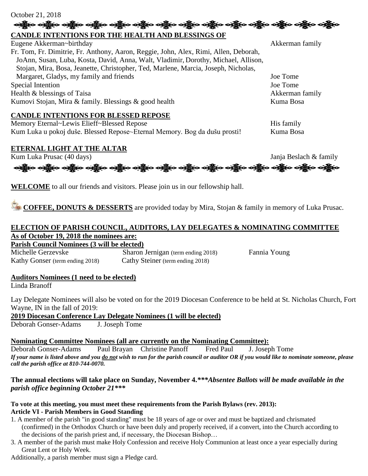#### October 21, 2018

### **CANDLE INTENTIONS FOR THE HEALTH AND BLESSINGS OF**

Eugene Akkerman~birthday Akkerman family and the settlement of the settlement of the settlement of the settlement of the settlement of the settlement of the settlement of the settlement of the settlement of the settlement Fr. Tom, Fr. Dimitrie, Fr. Anthony, Aaron, Reggie, John, Alex, Rimi, Allen, Deborah, JoAnn, Susan, Luba, Kosta, David, Anna, Walt, Vladimir, Dorothy, Michael, Allison, Stojan, Mira, Bosa, Jeanette, Christopher, Ted, Marlene, Marcia, Joseph, Nicholas, Margaret, Gladys, my family and friends Joe Tome Special Intention Joe Tome Health & blessings of Taisa Akkerman family Kumovi Stojan, Mira & family. Blessings & good health Kuma Bosa

န္သြားေနရွိပ္ေခါင္ဆီးေနရွိပ္ေခါင္း ပန္ဆိုးေနရွိပ္ေခါင္သိမ္းရွိပ္ေနရွိပ္ေခါင္း ရွိပ္ေခါင္းေခါင္ဆီးေ

#### **CANDLE INTENTIONS FOR BLESSED REPOSE**

Memory Eternal~Lewis Elieff~Blessed Repose His family Kum Luka u pokoj duše. Blessed Repose~Eternal Memory. Bog da dušu prosti! Kuma Bosa

### **ETERNAL LIGHT AT THE ALTAR**



**WELCOME** to all our friends and visitors. Please join us in our fellowship hall.

**COFFEE, DONUTS & DESSERTS** are provided today by Mira, Stojan & family in memory of Luka Prusac.

#### **ELECTION OF PARISH COUNCIL, AUDITORS, LAY DELEGATES & NOMINATING COMMITTEE As of October 19, 2018 the nominees are: Parish Council Nominees (3 will be elected)**

Michelle Gerzevske Sharon Jernigan (term ending 2018) Fannia Young Kathy Gonser (term ending 2018) Cathy Steiner (term ending 2018)

#### **Auditors Nominees (1 need to be elected)**

Linda Branoff

Lay Delegate Nominees will also be voted on for the 2019 Diocesan Conference to be held at St. Nicholas Church, Fort Wayne, IN in the fall of 2019:

**2019 Diocesan Conference Lay Delegate Nominees (1 will be elected)**

Deborah Gonser-Adams J. Joseph Tome

**Nominating Committee Nominees (all are currently on the Nominating Committee):**

Deborah Gonser-Adams Paul Brayan Christine Panoff Fred Paul J. Joseph Tome *If your name is listed above and you do not wish to run for the parish council or auditor OR if you would like to nominate someone, please call the parish office at 810-744-0070.*

### **The annual elections will take place on Sunday, November 4.***\*\*\*Absentee Ballots will be made available in the parish office beginning October 21\*\*\**

#### **To vote at this meeting, you must meet these requirements from the Parish Bylaws (rev. 2013): Article VI - Parish Members in Good Standing**

- 1. A member of the parish "in good standing" must be 18 years of age or over and must be baptized and chrismated (confirmed) in the Orthodox Church or have been duly and properly received, if a convert, into the Church according to the decisions of the parish priest and, if necessary, the Diocesan Bishop…
- 3. A member of the parish must make Holy Confession and receive Holy Communion at least once a year especially during Great Lent or Holy Week.

Additionally, a parish member must sign a Pledge card.